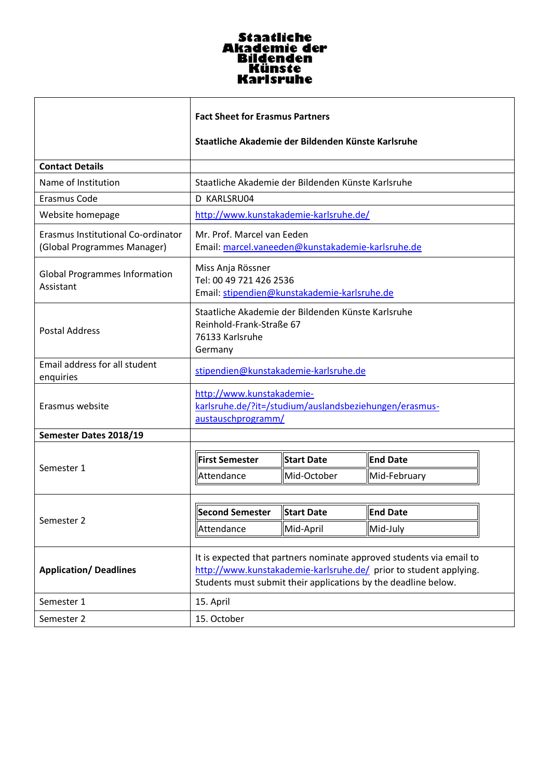## Staatliche<br>Akademie der<br>Bildenden<br>Künste<br>Karlsruhe

|                                                                   | <b>Fact Sheet for Erasmus Partners</b>                                                                                                                                                                      |                   |                  |  |
|-------------------------------------------------------------------|-------------------------------------------------------------------------------------------------------------------------------------------------------------------------------------------------------------|-------------------|------------------|--|
|                                                                   | Staatliche Akademie der Bildenden Künste Karlsruhe                                                                                                                                                          |                   |                  |  |
| <b>Contact Details</b>                                            |                                                                                                                                                                                                             |                   |                  |  |
| Name of Institution                                               | Staatliche Akademie der Bildenden Künste Karlsruhe                                                                                                                                                          |                   |                  |  |
| Erasmus Code                                                      | D KARLSRU04                                                                                                                                                                                                 |                   |                  |  |
| Website homepage                                                  | http://www.kunstakademie-karlsruhe.de/                                                                                                                                                                      |                   |                  |  |
| Erasmus Institutional Co-ordinator<br>(Global Programmes Manager) | Mr. Prof. Marcel van Eeden<br>Email: marcel.vaneeden@kunstakademie-karlsruhe.de                                                                                                                             |                   |                  |  |
| <b>Global Programmes Information</b><br>Assistant                 | Miss Anja Rössner<br>Tel: 00 49 721 426 2536<br>Email: stipendien@kunstakademie-karlsruhe.de                                                                                                                |                   |                  |  |
| Postal Address                                                    | Staatliche Akademie der Bildenden Künste Karlsruhe<br>Reinhold-Frank-Straße 67<br>76133 Karlsruhe<br>Germany                                                                                                |                   |                  |  |
| Email address for all student<br>enquiries                        | stipendien@kunstakademie-karlsruhe.de                                                                                                                                                                       |                   |                  |  |
| Erasmus website                                                   | http://www.kunstakademie-<br>karlsruhe.de/?it=/studium/auslandsbeziehungen/erasmus-<br>austauschprogramm/                                                                                                   |                   |                  |  |
| Semester Dates 2018/19                                            |                                                                                                                                                                                                             |                   |                  |  |
| Semester 1                                                        | <b>First Semester</b>                                                                                                                                                                                       | Start Date        | <b>End Date</b>  |  |
|                                                                   | Attendance                                                                                                                                                                                                  | Mid-October       | Mid-February     |  |
| Semester 2                                                        | <b>Second Semester</b>                                                                                                                                                                                      | <b>Start Date</b> | <b>lEnd Date</b> |  |
|                                                                   | Attendance                                                                                                                                                                                                  | Mid-April         | Mid-July         |  |
|                                                                   |                                                                                                                                                                                                             |                   |                  |  |
| <b>Application/Deadlines</b>                                      | It is expected that partners nominate approved students via email to<br>http://www.kunstakademie-karlsruhe.de/ prior to student applying.<br>Students must submit their applications by the deadline below. |                   |                  |  |
| Semester 1                                                        | 15. April                                                                                                                                                                                                   |                   |                  |  |
| Semester 2                                                        | 15. October                                                                                                                                                                                                 |                   |                  |  |